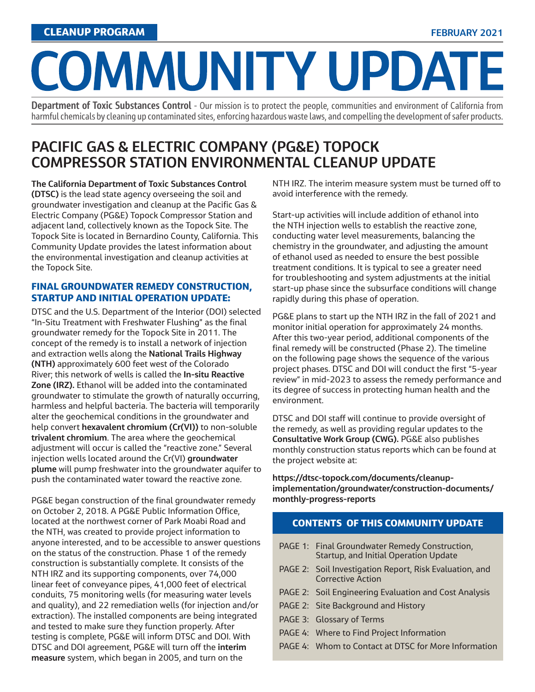# COMMUNITY UPDATE

**Department of Toxic Substances Control** - Our mission is to protect the people, communities and environment of California from harmful chemicals by cleaning up contaminated sites, enforcing hazardous waste laws, and compelling the development of safer products.

# **PACIFIC GAS & ELECTRIC COMPANY (PG&E) TOPOCK COMPRESSOR STATION ENVIRONMENTAL CLEANUP UPDATE**

**The California Department of Toxic Substances Control (DTSC)** is the lead state agency overseeing the soil and groundwater investigation and cleanup at the Pacific Gas & Electric Company (PG&E) Topock Compressor Station and adjacent land, collectively known as the Topock Site. The Topock Site is located in Bernardino County, California. This Community Update provides the latest information about the environmental investigation and cleanup activities at the Topock Site.

#### FINAL GROUNDWATER REMEDY CONSTRUCTION, STARTUP AND INITIAL OPERATION UPDATE:

DTSC and the U.S. Department of the Interior (DOI) selected "In-Situ Treatment with Freshwater Flushing" as the final groundwater remedy for the Topock Site in 2011. The concept of the remedy is to install a network of injection and extraction wells along the **National Trails Highway (NTH)** approximately 600 feet west of the Colorado River; this network of wells is called the **In-situ Reactive Zone (IRZ).** Ethanol will be added into the contaminated groundwater to stimulate the growth of naturally occurring, harmless and helpful bacteria. The bacteria will temporarily alter the geochemical conditions in the groundwater and help convert **hexavalent chromium (Cr(VI))** to non-soluble **trivalent chromium**. The area where the geochemical adjustment will occur is called the "reactive zone." Several injection wells located around the Cr(VI) **groundwater plume** will pump freshwater into the groundwater aquifer to push the contaminated water toward the reactive zone.

PG&E began construction of the final groundwater remedy on October 2, 2018. A PG&E Public Information Office, located at the northwest corner of Park Moabi Road and the NTH, was created to provide project information to anyone interested, and to be accessible to answer questions on the status of the construction. Phase 1 of the remedy construction is substantially complete. It consists of the NTH IRZ and its supporting components, over 74,000 linear feet of conveyance pipes, 41,000 feet of electrical conduits, 75 monitoring wells (for measuring water levels and quality), and 22 remediation wells (for injection and/or extraction). The installed components are being integrated and tested to make sure they function properly. After testing is complete, PG&E will inform DTSC and DOI. With DTSC and DOI agreement, PG&E will turn off the **interim measure** system, which began in 2005, and turn on the

NTH IRZ. The interim measure system must be turned off to avoid interference with the remedy.

Start-up activities will include addition of ethanol into the NTH injection wells to establish the reactive zone, conducting water level measurements, balancing the chemistry in the groundwater, and adjusting the amount of ethanol used as needed to ensure the best possible treatment conditions. It is typical to see a greater need for troubleshooting and system adjustments at the initial start-up phase since the subsurface conditions will change rapidly during this phase of operation.

PG&E plans to start up the NTH IRZ in the fall of 2021 and monitor initial operation for approximately 24 months. After this two-year period, additional components of the final remedy will be constructed (Phase 2). The timeline on the following page shows the sequence of the various project phases. DTSC and DOI will conduct the first "5-year review" in mid-2023 to assess the remedy performance and its degree of success in protecting human health and the environment.

DTSC and DOI staff will continue to provide oversight of the remedy, as well as providing regular updates to the **Consultative Work Group (CWG).** PG&E also publishes monthly construction status reports which can be found at the project website at:

**https://dtsc-topock.com/documents/cleanupimplementation/groundwater/construction-documents/ monthly-progress-reports** 

#### CONTENTS OF THIS COMMUNITY UPDATE

- PAGE 1: Final Groundwater Remedy Construction, Startup, and Initial Operation Update
- PAGE 2: Soil Investigation Report, Risk Evaluation, and Corrective Action
- PAGE 2: Soil Engineering Evaluation and Cost Analysis
- PAGE 2: Site Background and History
- PAGE 3: Glossary of Terms
- PAGE 4: Where to Find Project Information
- PAGE 4: Whom to Contact at DTSC for More Information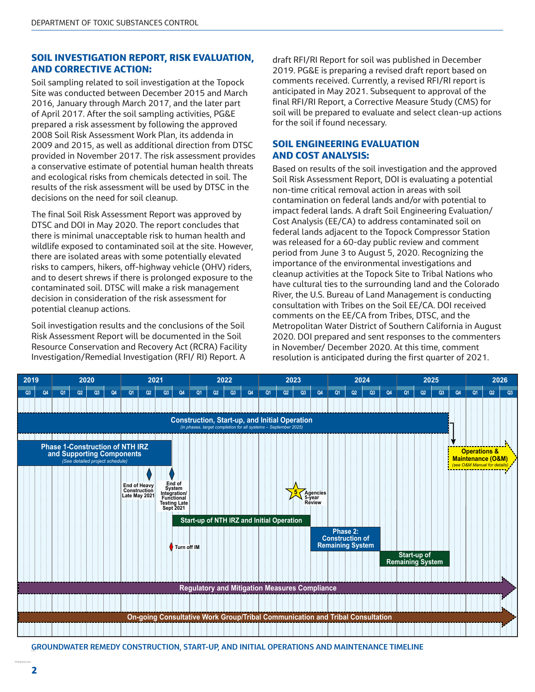#### SOIL INVESTIGATION REPORT, RISK EVALUATION, AND CORRECTIVE ACTION:

Soil sampling related to soil investigation at the Topock Site was conducted between December 2015 and March 2016, January through March 2017, and the later part of April 2017. After the soil sampling activities, PG&E prepared a risk assessment by following the approved 2008 Soil Risk Assessment Work Plan, its addenda in 2009 and 2015, as well as additional direction from DTSC provided in November 2017. The risk assessment provides a conservative estimate of potential human health threats and ecological risks from chemicals detected in soil. The results of the risk assessment will be used by DTSC in the decisions on the need for soil cleanup.

The final Soil Risk Assessment Report was approved by DTSC and DOI in May 2020. The report concludes that there is minimal unacceptable risk to human health and wildlife exposed to contaminated soil at the site. However, there are isolated areas with some potentially elevated risks to campers, hikers, off-highway vehicle (OHV) riders, and to desert shrews if there is prolonged exposure to the contaminated soil. DTSC will make a risk management decision in consideration of the risk assessment for potential cleanup actions.

Soil investigation results and the conclusions of the Soil Risk Assessment Report will be documented in the Soil Resource Conservation and Recovery Act (RCRA) Facility Investigation/Remedial Investigation (RFI/ RI) Report. A

draft RFI/RI Report for soil was published in December 2019. PG&E is preparing a revised draft report based on comments received. Currently, a revised RFI/RI report is anticipated in May 2021. Subsequent to approval of the final RFI/RI Report, a Corrective Measure Study (CMS) for soil will be prepared to evaluate and select clean-up actions for the soil if found necessary.

#### SOIL ENGINEERING EVALUATION AND COST ANALYSIS:

Based on results of the soil investigation and the approved Soil Risk Assessment Report, DOI is evaluating a potential non-time critical removal action in areas with soil contamination on federal lands and/or with potential to impact federal lands. A draft Soil Engineering Evaluation/ Cost Analysis (EE/CA) to address contaminated soil on federal lands adjacent to the Topock Compressor Station was released for a 60-day public review and comment period from June 3 to August 5, 2020. Recognizing the importance of the environmental investigations and cleanup activities at the Topock Site to Tribal Nations who have cultural ties to the surrounding land and the Colorado River, the U.S. Bureau of Land Management is conducting consultation with Tribes on the Soil EE/CA. DOI received comments on the EE/CA from Tribes, DTSC, and the Metropolitan Water District of Southern California in August 2020. DOI prepared and sent responses to the commenters in November/ December 2020. At this time, comment resolution is anticipated during the first quarter of 2021.



**GROUNDWATER REMEDY CONSTRUCTION, START-UP, AND INITIAL OPERATIONS AND MAINTENANCE TIMELINE**

ĺ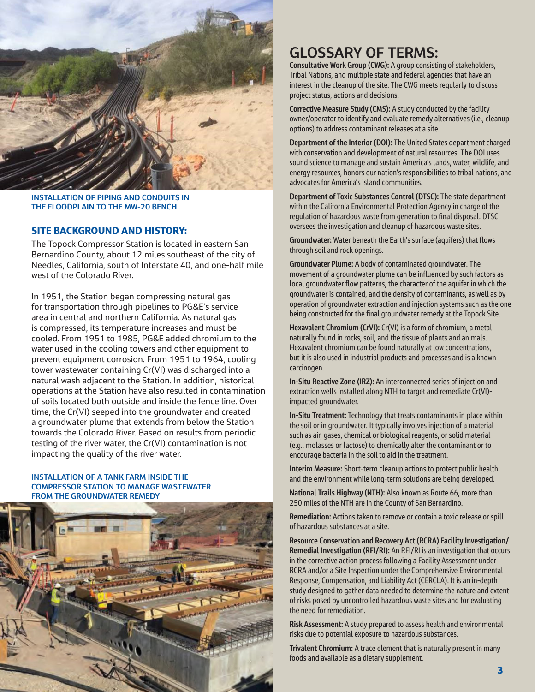

**INSTALLATION OF PIPING AND CONDUITS IN THE FLOODPLAIN TO THE MW-20 BENCH**

#### SITE BACKGROUND AND HISTORY:

The Topock Compressor Station is located in eastern San Bernardino County, about 12 miles southeast of the city of Needles, California, south of Interstate 40, and one-half mile west of the Colorado River.

In 1951, the Station began compressing natural gas for transportation through pipelines to PG&E's service area in central and northern California. As natural gas is compressed, its temperature increases and must be cooled. From 1951 to 1985, PG&E added chromium to the water used in the cooling towers and other equipment to prevent equipment corrosion. From 1951 to 1964, cooling tower wastewater containing Cr(VI) was discharged into a natural wash adjacent to the Station. In addition, historical operations at the Station have also resulted in contamination of soils located both outside and inside the fence line. Over time, the Cr(VI) seeped into the groundwater and created a groundwater plume that extends from below the Station towards the Colorado River. Based on results from periodic testing of the river water, the Cr(VI) contamination is not impacting the quality of the river water.

#### **INSTALLATION OF A TANK FARM INSIDE THE COMPRESSOR STATION TO MANAGE WASTEWATER FROM THE GROUNDWATER REMEDY**



## **GLOSSARY OF TERMS:**

**Consultative Work Group (CWG):** A group consisting of stakeholders, Tribal Nations, and multiple state and federal agencies that have an interest in the cleanup of the site. The CWG meets regularly to discuss project status, actions and decisions.

**Corrective Measure Study (CMS):** A study conducted by the facility owner/operator to identify and evaluate remedy alternatives (i.e., cleanup options) to address contaminant releases at a site.

**Department of the Interior (DOI):** The United States department charged with conservation and development of natural resources. The DOI uses sound science to manage and sustain America's lands, water, wildlife, and energy resources, honors our nation's responsibilities to tribal nations, and advocates for America's island communities.

**Department of Toxic Substances Control (DTSC):** The state department within the California Environmental Protection Agency in charge of the regulation of hazardous waste from generation to final disposal. DTSC oversees the investigation and cleanup of hazardous waste sites.

**Groundwater:** Water beneath the Earth's surface (aquifers) that flows through soil and rock openings.

**Groundwater Plume:** A body of contaminated groundwater. The movement of a groundwater plume can be influenced by such factors as local groundwater flow patterns, the character of the aquifer in which the groundwater is contained, and the density of contaminants, as well as by operation of groundwater extraction and injection systems such as the one being constructed for the final groundwater remedy at the Topock Site.

**Hexavalent Chromium (CrVI):** Cr(VI) is a form of chromium, a metal naturally found in rocks, soil, and the tissue of plants and animals. Hexavalent chromium can be found naturally at low concentrations, but it is also used in industrial products and processes and is a known carcinogen.

**In-Situ Reactive Zone (IRZ):** An interconnected series of injection and extraction wells installed along NTH to target and remediate Cr(VI) impacted groundwater.

**In-Situ Treatment:** Technology that treats contaminants in place within the soil or in groundwater. It typically involves injection of a material such as air, gases, chemical or biological reagents, or solid material (e.g., molasses or lactose) to chemically alter the contaminant or to encourage bacteria in the soil to aid in the treatment.

**Interim Measure:** Short-term cleanup actions to protect public health and the environment while long-term solutions are being developed.

**National Trails Highway (NTH):** Also known as Route 66, more than 250 miles of the NTH are in the County of San Bernardino.

**Remediation:** Actions taken to remove or contain a toxic release or spill of hazardous substances at a site.

**Resource Conservation and Recovery Act (RCRA) Facility Investigation/ Remedial Investigation (RFI/RI):** An RFI/RI is an investigation that occurs in the corrective action process following a Facility Assessment under RCRA and/or a Site Inspection under the Comprehensive Environmental Response, Compensation, and Liability Act (CERCLA). It is an in-depth study designed to gather data needed to determine the nature and extent of risks posed by uncontrolled hazardous waste sites and for evaluating the need for remediation.

**Risk Assessment:** A study prepared to assess health and environmental risks due to potential exposure to hazardous substances.

**Trivalent Chromium:** A trace element that is naturally present in many foods and available as a dietary supplement.